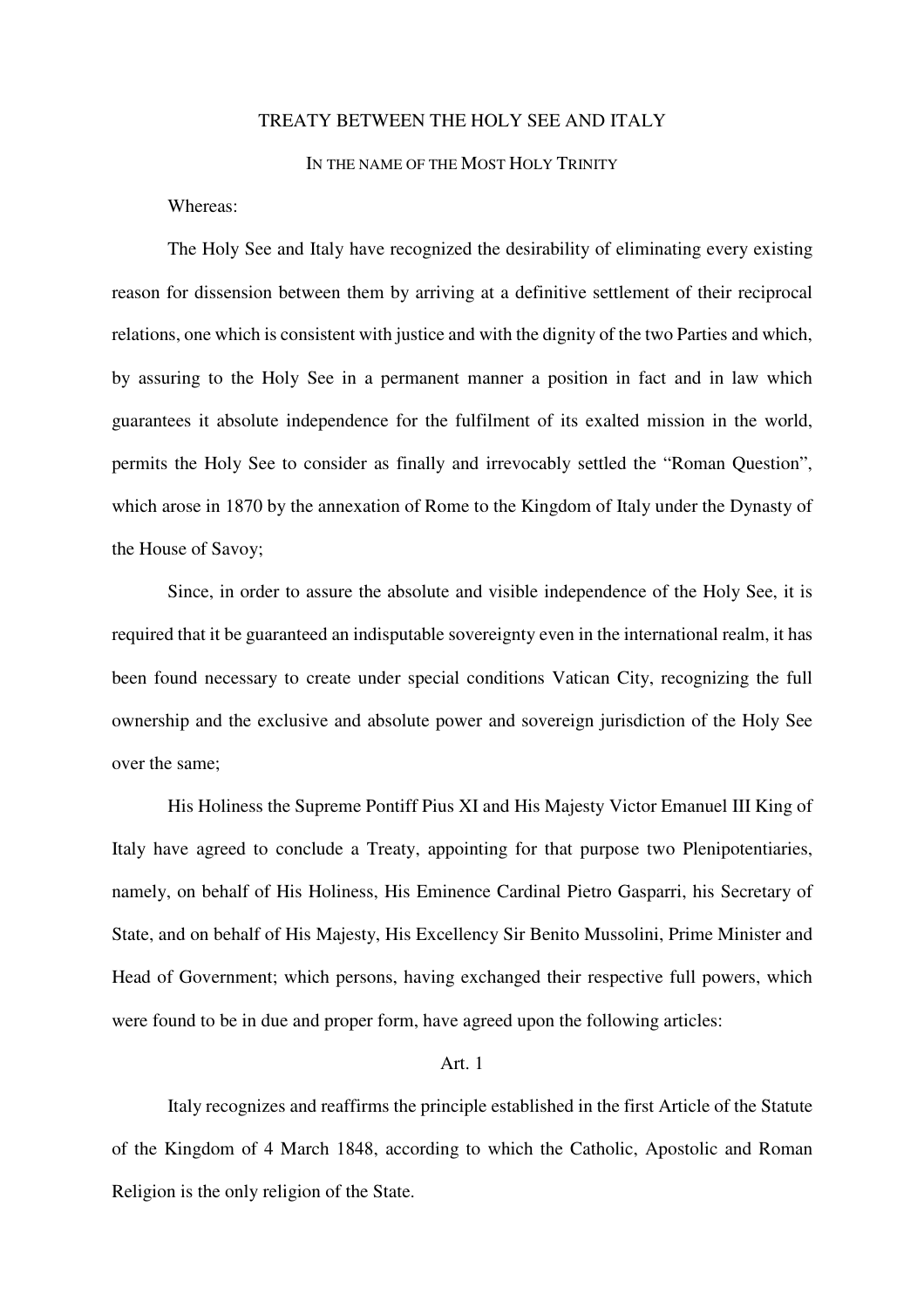## TREATY BETWEEN THE HOLY SEE AND ITALY

## IN THE NAME OF THE MOST HOLY TRINITY

#### Whereas:

 The Holy See and Italy have recognized the desirability of eliminating every existing reason for dissension between them by arriving at a definitive settlement of their reciprocal relations, one which is consistent with justice and with the dignity of the two Parties and which, by assuring to the Holy See in a permanent manner a position in fact and in law which guarantees it absolute independence for the fulfilment of its exalted mission in the world, permits the Holy See to consider as finally and irrevocably settled the "Roman Question", which arose in 1870 by the annexation of Rome to the Kingdom of Italy under the Dynasty of the House of Savoy;

 Since, in order to assure the absolute and visible independence of the Holy See, it is required that it be guaranteed an indisputable sovereignty even in the international realm, it has been found necessary to create under special conditions Vatican City, recognizing the full ownership and the exclusive and absolute power and sovereign jurisdiction of the Holy See over the same;

 His Holiness the Supreme Pontiff Pius XI and His Majesty Victor Emanuel III King of Italy have agreed to conclude a Treaty, appointing for that purpose two Plenipotentiaries, namely, on behalf of His Holiness, His Eminence Cardinal Pietro Gasparri, his Secretary of State, and on behalf of His Majesty, His Excellency Sir Benito Mussolini, Prime Minister and Head of Government; which persons, having exchanged their respective full powers, which were found to be in due and proper form, have agreed upon the following articles:

#### Art. 1

 Italy recognizes and reaffirms the principle established in the first Article of the Statute of the Kingdom of 4 March 1848, according to which the Catholic, Apostolic and Roman Religion is the only religion of the State.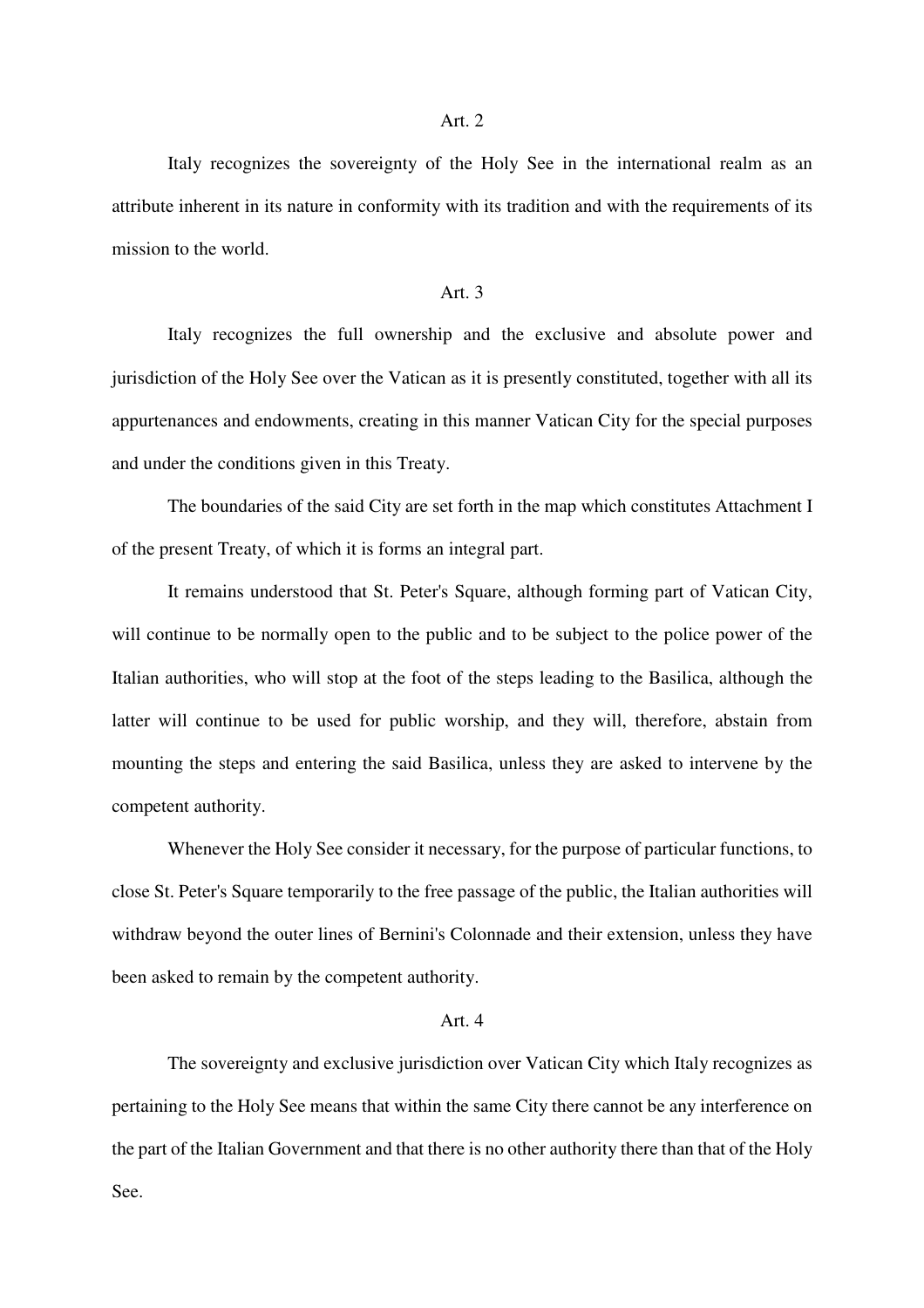#### Art. 2

 Italy recognizes the sovereignty of the Holy See in the international realm as an attribute inherent in its nature in conformity with its tradition and with the requirements of its mission to the world.

#### Art. 3

 Italy recognizes the full ownership and the exclusive and absolute power and jurisdiction of the Holy See over the Vatican as it is presently constituted, together with all its appurtenances and endowments, creating in this manner Vatican City for the special purposes and under the conditions given in this Treaty.

 The boundaries of the said City are set forth in the map which constitutes Attachment I of the present Treaty, of which it is forms an integral part.

 It remains understood that St. Peter's Square, although forming part of Vatican City, will continue to be normally open to the public and to be subject to the police power of the Italian authorities, who will stop at the foot of the steps leading to the Basilica, although the latter will continue to be used for public worship, and they will, therefore, abstain from mounting the steps and entering the said Basilica, unless they are asked to intervene by the competent authority.

 Whenever the Holy See consider it necessary, for the purpose of particular functions, to close St. Peter's Square temporarily to the free passage of the public, the Italian authorities will withdraw beyond the outer lines of Bernini's Colonnade and their extension, unless they have been asked to remain by the competent authority.

#### Art. 4

 The sovereignty and exclusive jurisdiction over Vatican City which Italy recognizes as pertaining to the Holy See means that within the same City there cannot be any interference on the part of the Italian Government and that there is no other authority there than that of the Holy See.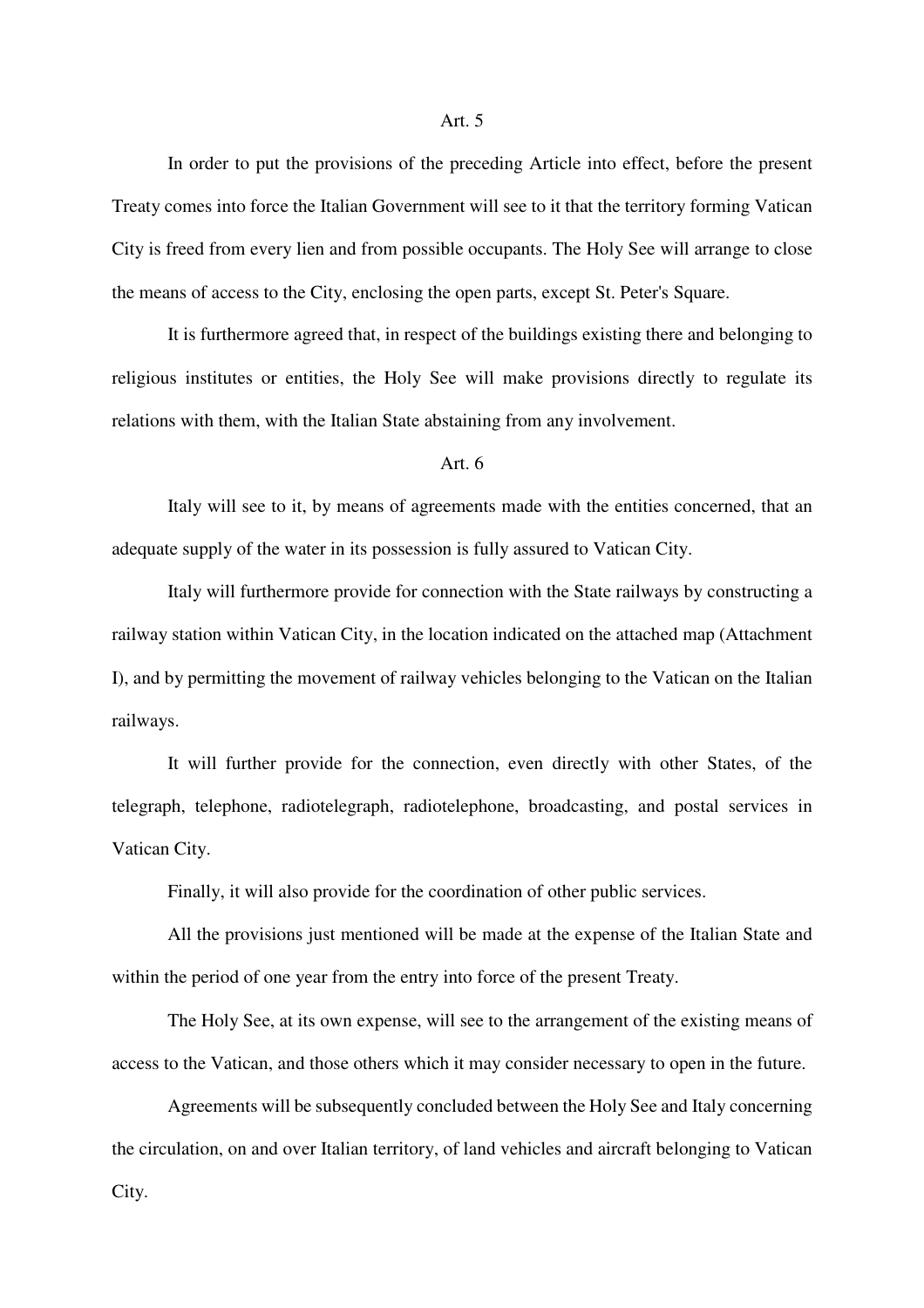#### Art. 5

 In order to put the provisions of the preceding Article into effect, before the present Treaty comes into force the Italian Government will see to it that the territory forming Vatican City is freed from every lien and from possible occupants. The Holy See will arrange to close the means of access to the City, enclosing the open parts, except St. Peter's Square.

 It is furthermore agreed that, in respect of the buildings existing there and belonging to religious institutes or entities, the Holy See will make provisions directly to regulate its relations with them, with the Italian State abstaining from any involvement.

### Art. 6

 Italy will see to it, by means of agreements made with the entities concerned, that an adequate supply of the water in its possession is fully assured to Vatican City.

 Italy will furthermore provide for connection with the State railways by constructing a railway station within Vatican City, in the location indicated on the attached map (Attachment I), and by permitting the movement of railway vehicles belonging to the Vatican on the Italian railways.

 It will further provide for the connection, even directly with other States, of the telegraph, telephone, radiotelegraph, radiotelephone, broadcasting, and postal services in Vatican City.

Finally, it will also provide for the coordination of other public services.

 All the provisions just mentioned will be made at the expense of the Italian State and within the period of one year from the entry into force of the present Treaty.

 The Holy See, at its own expense, will see to the arrangement of the existing means of access to the Vatican, and those others which it may consider necessary to open in the future.

 Agreements will be subsequently concluded between the Holy See and Italy concerning the circulation, on and over Italian territory, of land vehicles and aircraft belonging to Vatican City.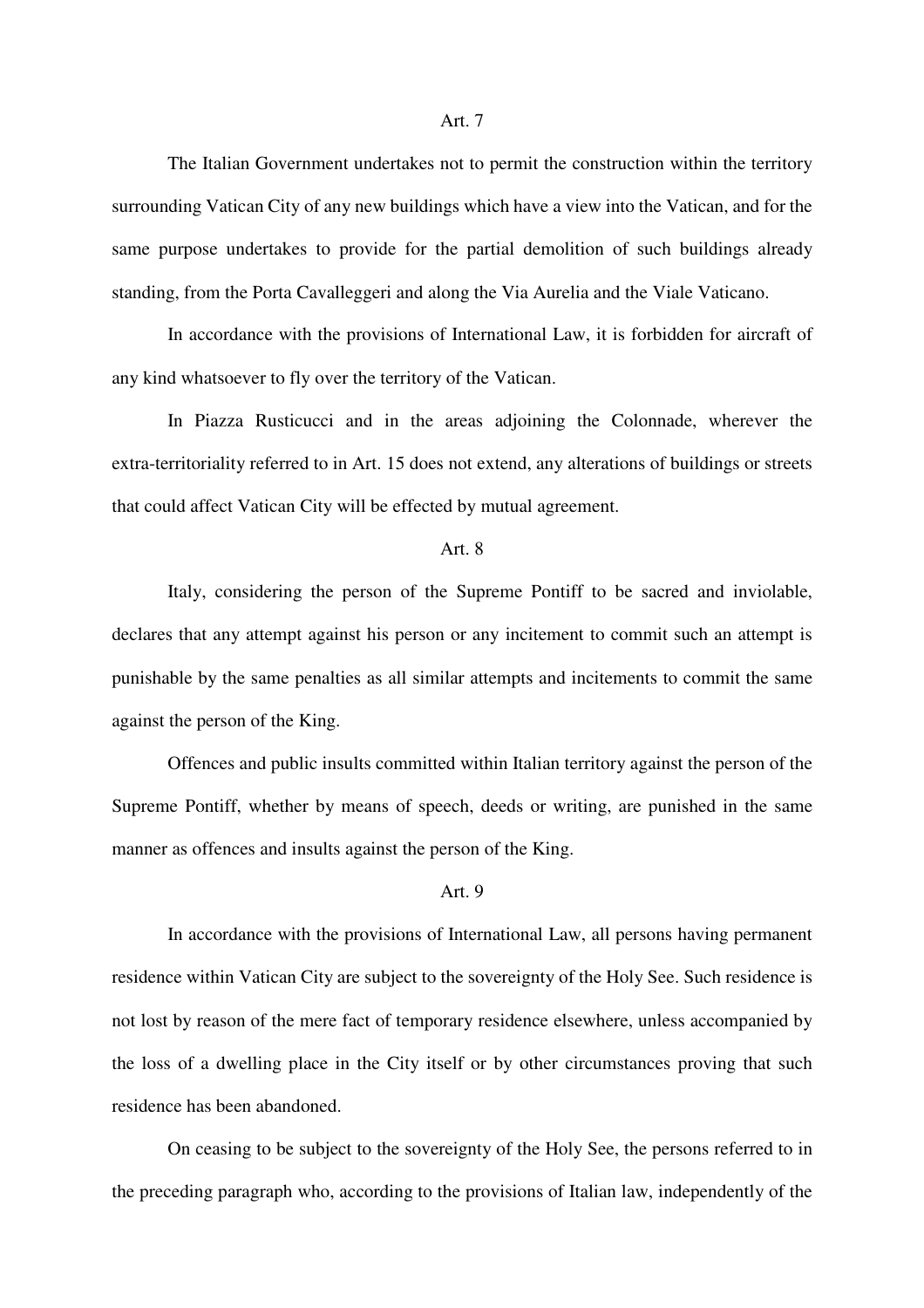The Italian Government undertakes not to permit the construction within the territory surrounding Vatican City of any new buildings which have a view into the Vatican, and for the same purpose undertakes to provide for the partial demolition of such buildings already standing, from the Porta Cavalleggeri and along the Via Aurelia and the Viale Vaticano.

 In accordance with the provisions of International Law, it is forbidden for aircraft of any kind whatsoever to fly over the territory of the Vatican.

 In Piazza Rusticucci and in the areas adjoining the Colonnade, wherever the extra-territoriality referred to in Art. 15 does not extend, any alterations of buildings or streets that could affect Vatican City will be effected by mutual agreement.

#### Art. 8

 Italy, considering the person of the Supreme Pontiff to be sacred and inviolable, declares that any attempt against his person or any incitement to commit such an attempt is punishable by the same penalties as all similar attempts and incitements to commit the same against the person of the King.

 Offences and public insults committed within Italian territory against the person of the Supreme Pontiff, whether by means of speech, deeds or writing, are punished in the same manner as offences and insults against the person of the King.

## Art. 9

 In accordance with the provisions of International Law, all persons having permanent residence within Vatican City are subject to the sovereignty of the Holy See. Such residence is not lost by reason of the mere fact of temporary residence elsewhere, unless accompanied by the loss of a dwelling place in the City itself or by other circumstances proving that such residence has been abandoned.

 On ceasing to be subject to the sovereignty of the Holy See, the persons referred to in the preceding paragraph who, according to the provisions of Italian law, independently of the

### Art. 7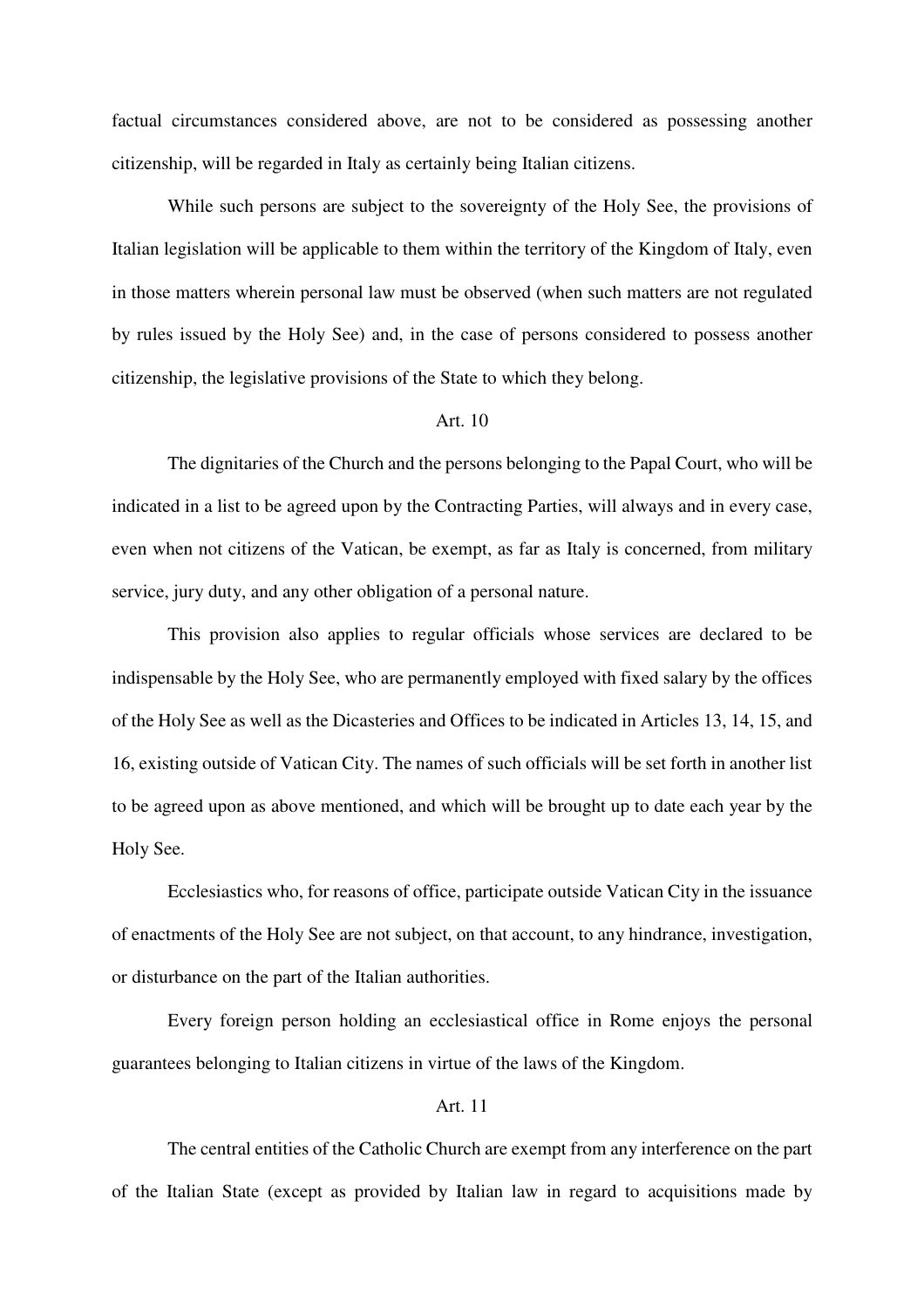factual circumstances considered above, are not to be considered as possessing another citizenship, will be regarded in Italy as certainly being Italian citizens.

 While such persons are subject to the sovereignty of the Holy See, the provisions of Italian legislation will be applicable to them within the territory of the Kingdom of Italy, even in those matters wherein personal law must be observed (when such matters are not regulated by rules issued by the Holy See) and, in the case of persons considered to possess another citizenship, the legislative provisions of the State to which they belong.

### Art. 10

 The dignitaries of the Church and the persons belonging to the Papal Court, who will be indicated in a list to be agreed upon by the Contracting Parties, will always and in every case, even when not citizens of the Vatican, be exempt, as far as Italy is concerned, from military service, jury duty, and any other obligation of a personal nature.

 This provision also applies to regular officials whose services are declared to be indispensable by the Holy See, who are permanently employed with fixed salary by the offices of the Holy See as well as the Dicasteries and Offices to be indicated in Articles 13, 14, 15, and 16, existing outside of Vatican City. The names of such officials will be set forth in another list to be agreed upon as above mentioned, and which will be brought up to date each year by the Holy See.

 Ecclesiastics who, for reasons of office, participate outside Vatican City in the issuance of enactments of the Holy See are not subject, on that account, to any hindrance, investigation, or disturbance on the part of the Italian authorities.

 Every foreign person holding an ecclesiastical office in Rome enjoys the personal guarantees belonging to Italian citizens in virtue of the laws of the Kingdom.

### Art. 11

 The central entities of the Catholic Church are exempt from any interference on the part of the Italian State (except as provided by Italian law in regard to acquisitions made by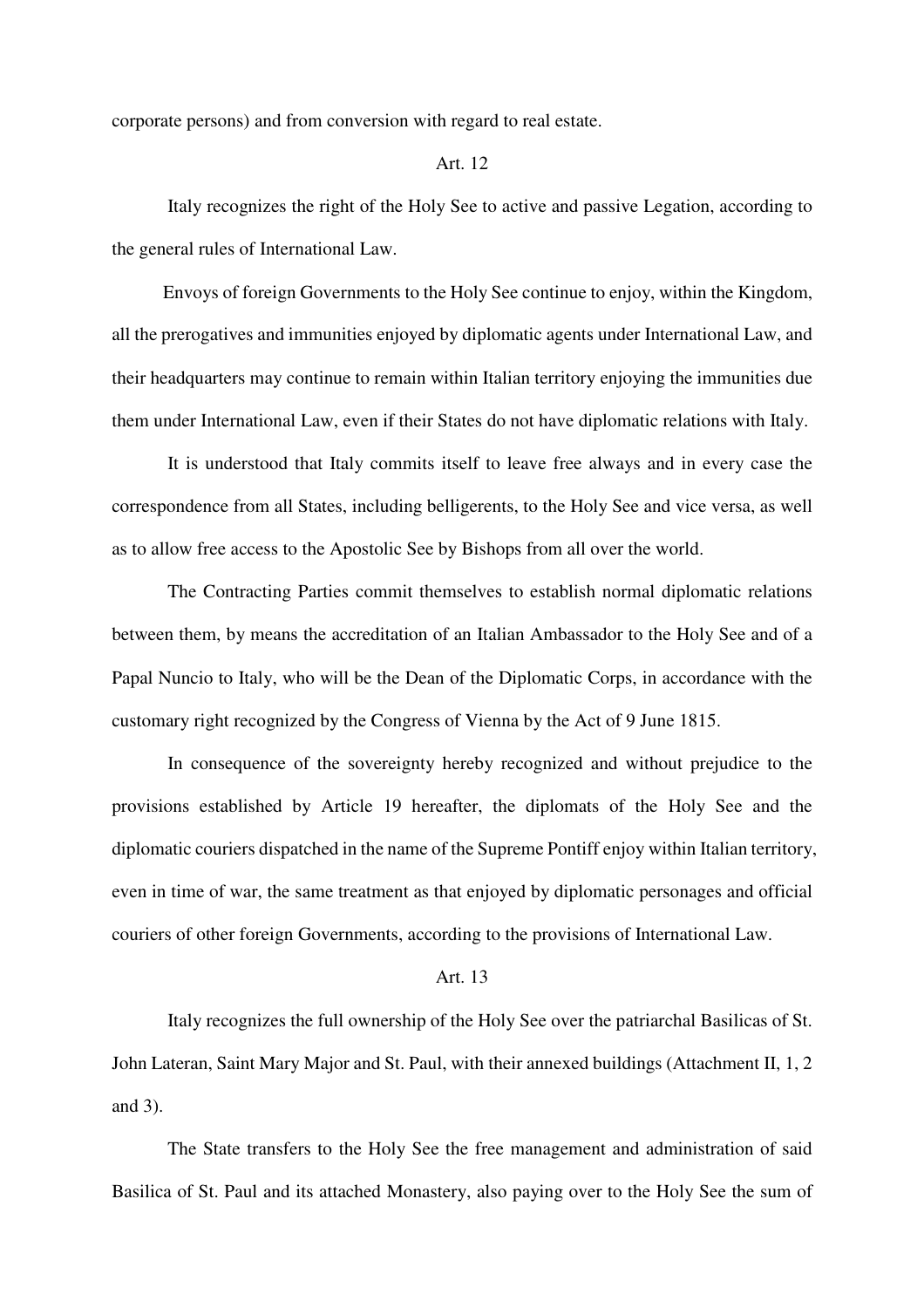corporate persons) and from conversion with regard to real estate.

## Art. 12

 Italy recognizes the right of the Holy See to active and passive Legation, according to the general rules of International Law.

 Envoys of foreign Governments to the Holy See continue to enjoy, within the Kingdom, all the prerogatives and immunities enjoyed by diplomatic agents under International Law, and their headquarters may continue to remain within Italian territory enjoying the immunities due them under International Law, even if their States do not have diplomatic relations with Italy.

 It is understood that Italy commits itself to leave free always and in every case the correspondence from all States, including belligerents, to the Holy See and vice versa, as well as to allow free access to the Apostolic See by Bishops from all over the world.

 The Contracting Parties commit themselves to establish normal diplomatic relations between them, by means the accreditation of an Italian Ambassador to the Holy See and of a Papal Nuncio to Italy, who will be the Dean of the Diplomatic Corps, in accordance with the customary right recognized by the Congress of Vienna by the Act of 9 June 1815.

 In consequence of the sovereignty hereby recognized and without prejudice to the provisions established by Article 19 hereafter, the diplomats of the Holy See and the diplomatic couriers dispatched in the name of the Supreme Pontiff enjoy within Italian territory, even in time of war, the same treatment as that enjoyed by diplomatic personages and official couriers of other foreign Governments, according to the provisions of International Law.

#### Art. 13

 Italy recognizes the full ownership of the Holy See over the patriarchal Basilicas of St. John Lateran, Saint Mary Major and St. Paul, with their annexed buildings (Attachment II, 1, 2 and 3).

 The State transfers to the Holy See the free management and administration of said Basilica of St. Paul and its attached Monastery, also paying over to the Holy See the sum of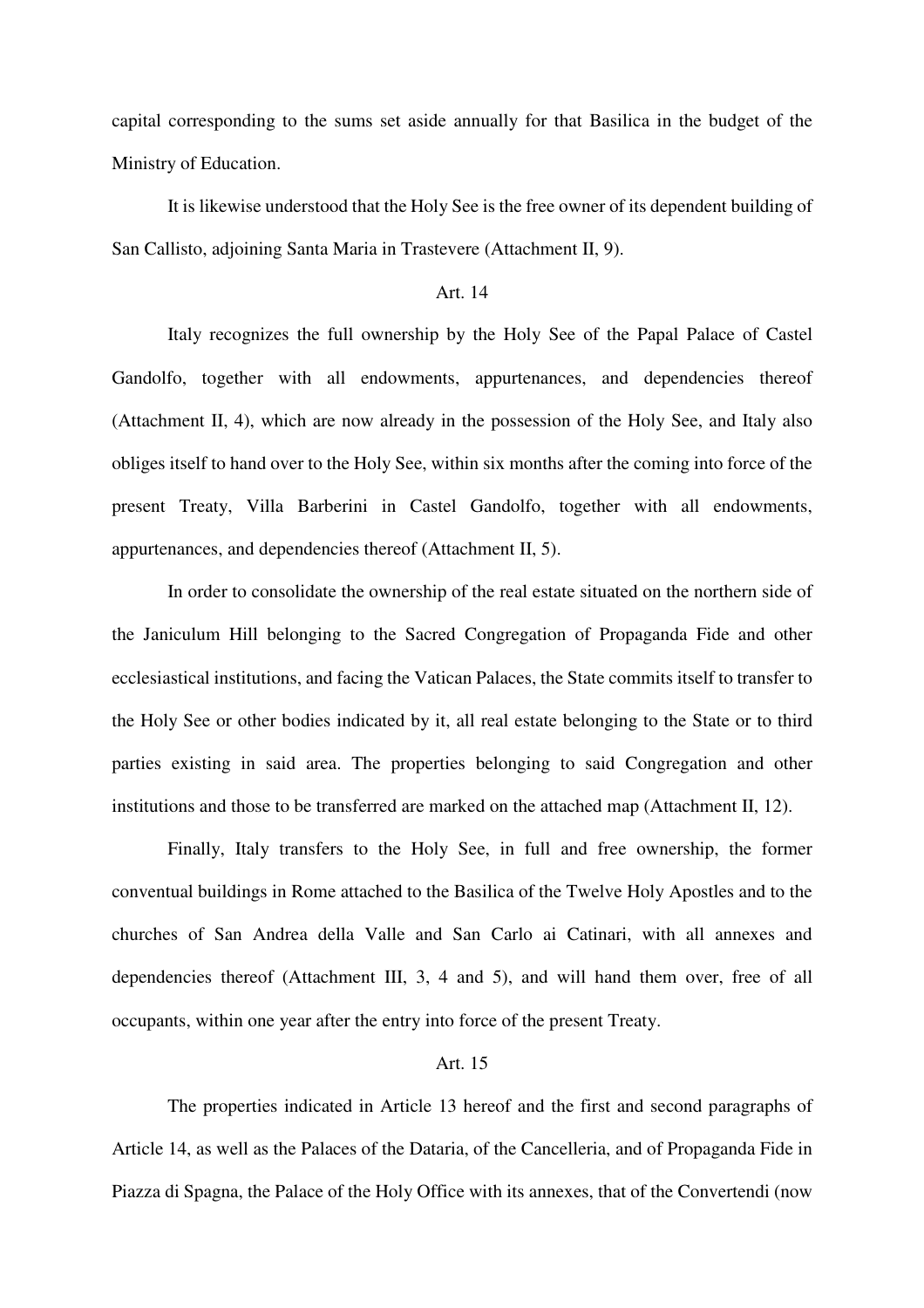capital corresponding to the sums set aside annually for that Basilica in the budget of the Ministry of Education.

 It is likewise understood that the Holy See is the free owner of its dependent building of San Callisto, adjoining Santa Maria in Trastevere (Attachment II, 9).

### Art. 14

 Italy recognizes the full ownership by the Holy See of the Papal Palace of Castel Gandolfo, together with all endowments, appurtenances, and dependencies thereof (Attachment II, 4), which are now already in the possession of the Holy See, and Italy also obliges itself to hand over to the Holy See, within six months after the coming into force of the present Treaty, Villa Barberini in Castel Gandolfo, together with all endowments, appurtenances, and dependencies thereof (Attachment II, 5).

 In order to consolidate the ownership of the real estate situated on the northern side of the Janiculum Hill belonging to the Sacred Congregation of Propaganda Fide and other ecclesiastical institutions, and facing the Vatican Palaces, the State commits itself to transfer to the Holy See or other bodies indicated by it, all real estate belonging to the State or to third parties existing in said area. The properties belonging to said Congregation and other institutions and those to be transferred are marked on the attached map (Attachment II, 12).

 Finally, Italy transfers to the Holy See, in full and free ownership, the former conventual buildings in Rome attached to the Basilica of the Twelve Holy Apostles and to the churches of San Andrea della Valle and San Carlo ai Catinari, with all annexes and dependencies thereof (Attachment III, 3, 4 and 5), and will hand them over, free of all occupants, within one year after the entry into force of the present Treaty.

## Art. 15

 The properties indicated in Article 13 hereof and the first and second paragraphs of Article 14, as well as the Palaces of the Dataria, of the Cancelleria, and of Propaganda Fide in Piazza di Spagna, the Palace of the Holy Office with its annexes, that of the Convertendi (now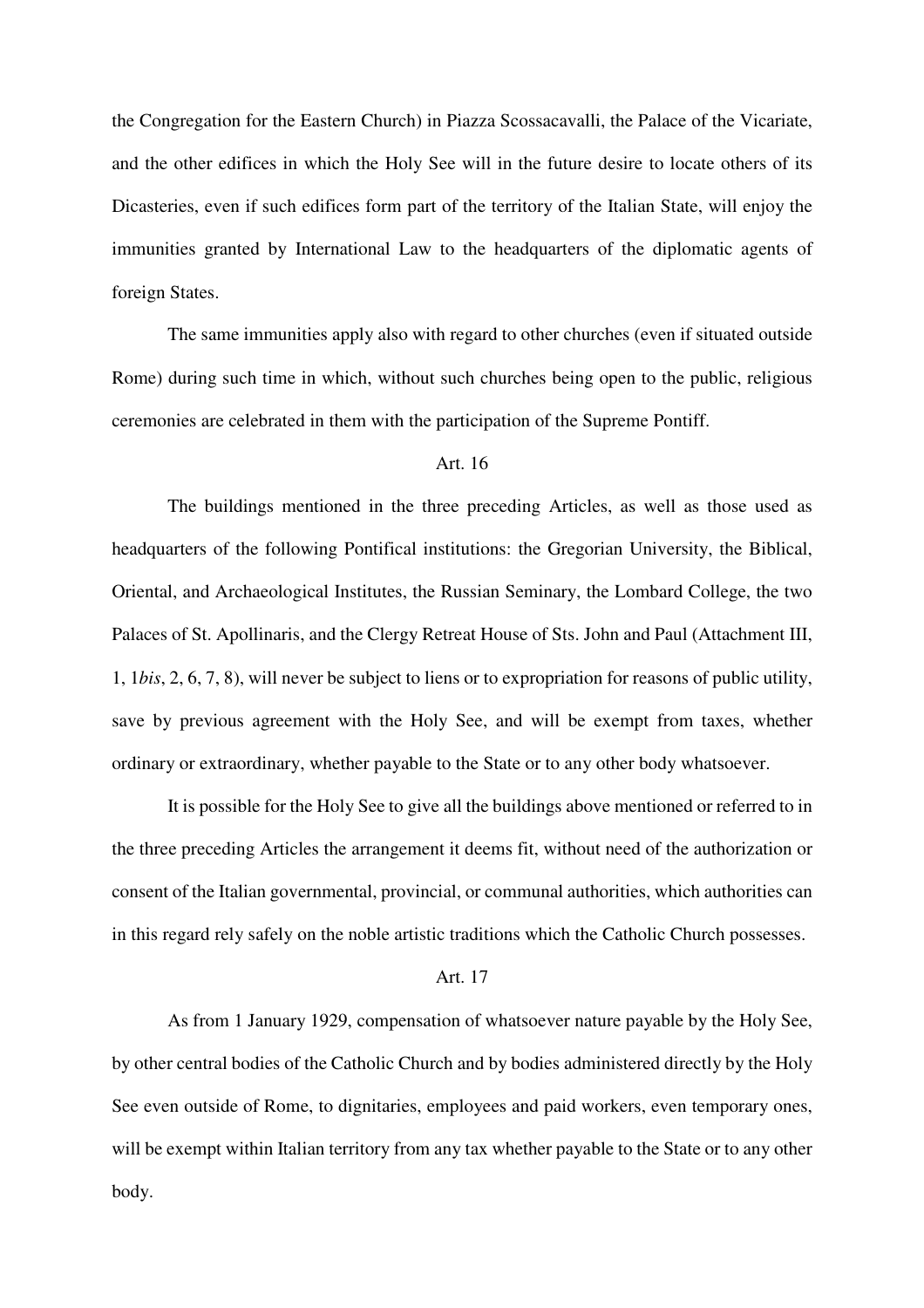the Congregation for the Eastern Church) in Piazza Scossacavalli, the Palace of the Vicariate, and the other edifices in which the Holy See will in the future desire to locate others of its Dicasteries, even if such edifices form part of the territory of the Italian State, will enjoy the immunities granted by International Law to the headquarters of the diplomatic agents of foreign States.

 The same immunities apply also with regard to other churches (even if situated outside Rome) during such time in which, without such churches being open to the public, religious ceremonies are celebrated in them with the participation of the Supreme Pontiff.

## Art. 16

 The buildings mentioned in the three preceding Articles, as well as those used as headquarters of the following Pontifical institutions: the Gregorian University, the Biblical, Oriental, and Archaeological Institutes, the Russian Seminary, the Lombard College, the two Palaces of St. Apollinaris, and the Clergy Retreat House of Sts. John and Paul (Attachment III, 1, 1*bis*, 2, 6, 7, 8), will never be subject to liens or to expropriation for reasons of public utility, save by previous agreement with the Holy See, and will be exempt from taxes, whether ordinary or extraordinary, whether payable to the State or to any other body whatsoever.

 It is possible for the Holy See to give all the buildings above mentioned or referred to in the three preceding Articles the arrangement it deems fit, without need of the authorization or consent of the Italian governmental, provincial, or communal authorities, which authorities can in this regard rely safely on the noble artistic traditions which the Catholic Church possesses.

#### Art. 17

 As from 1 January 1929, compensation of whatsoever nature payable by the Holy See, by other central bodies of the Catholic Church and by bodies administered directly by the Holy See even outside of Rome, to dignitaries, employees and paid workers, even temporary ones, will be exempt within Italian territory from any tax whether payable to the State or to any other body.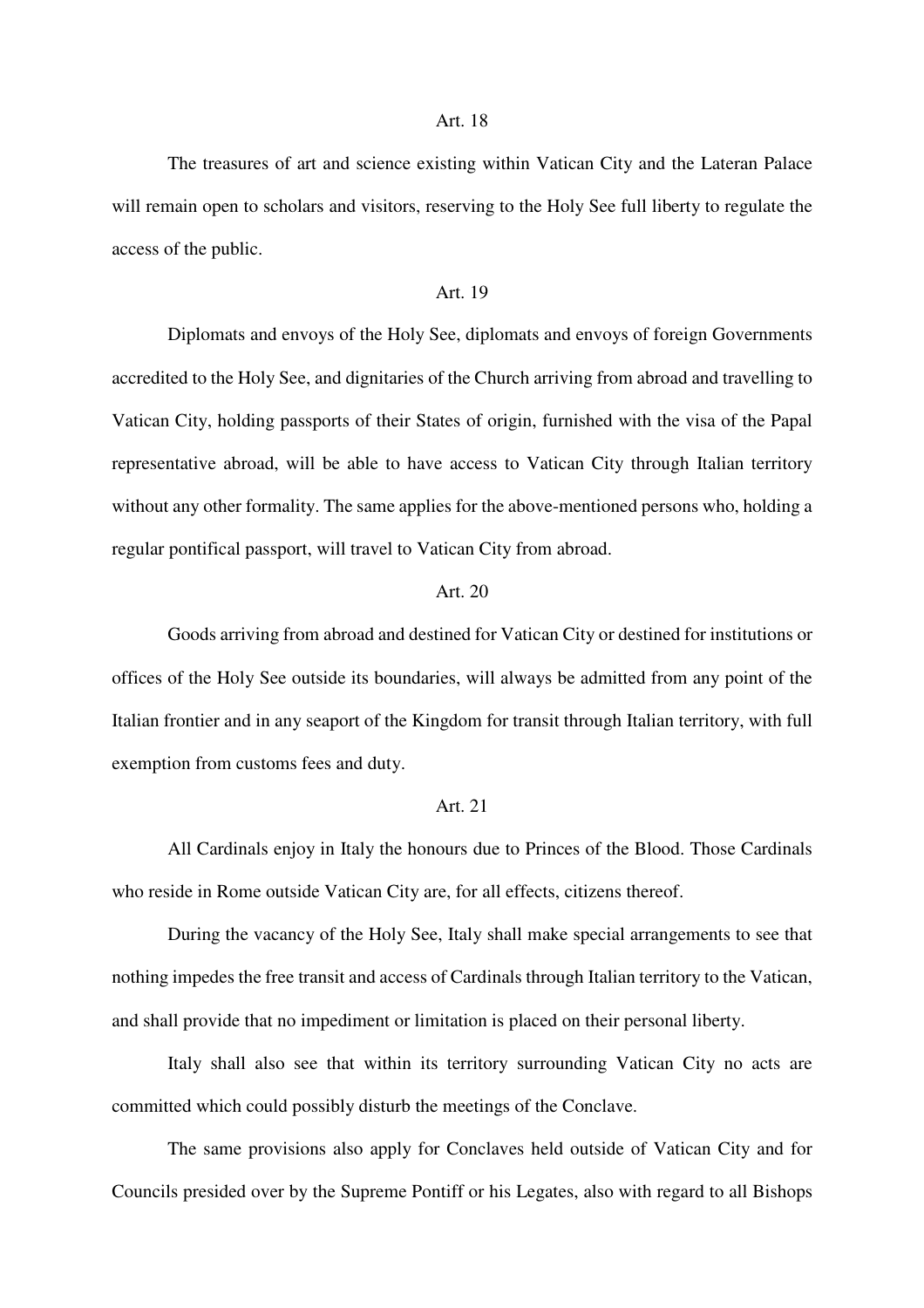#### Art. 18

 The treasures of art and science existing within Vatican City and the Lateran Palace will remain open to scholars and visitors, reserving to the Holy See full liberty to regulate the access of the public.

#### Art. 19

 Diplomats and envoys of the Holy See, diplomats and envoys of foreign Governments accredited to the Holy See, and dignitaries of the Church arriving from abroad and travelling to Vatican City, holding passports of their States of origin, furnished with the visa of the Papal representative abroad, will be able to have access to Vatican City through Italian territory without any other formality. The same applies for the above-mentioned persons who, holding a regular pontifical passport, will travel to Vatican City from abroad.

## Art.  $20$

 Goods arriving from abroad and destined for Vatican City or destined for institutions or offices of the Holy See outside its boundaries, will always be admitted from any point of the Italian frontier and in any seaport of the Kingdom for transit through Italian territory, with full exemption from customs fees and duty.

#### Art. 21

 All Cardinals enjoy in Italy the honours due to Princes of the Blood. Those Cardinals who reside in Rome outside Vatican City are, for all effects, citizens thereof.

 During the vacancy of the Holy See, Italy shall make special arrangements to see that nothing impedes the free transit and access of Cardinals through Italian territory to the Vatican, and shall provide that no impediment or limitation is placed on their personal liberty.

 Italy shall also see that within its territory surrounding Vatican City no acts are committed which could possibly disturb the meetings of the Conclave.

 The same provisions also apply for Conclaves held outside of Vatican City and for Councils presided over by the Supreme Pontiff or his Legates, also with regard to all Bishops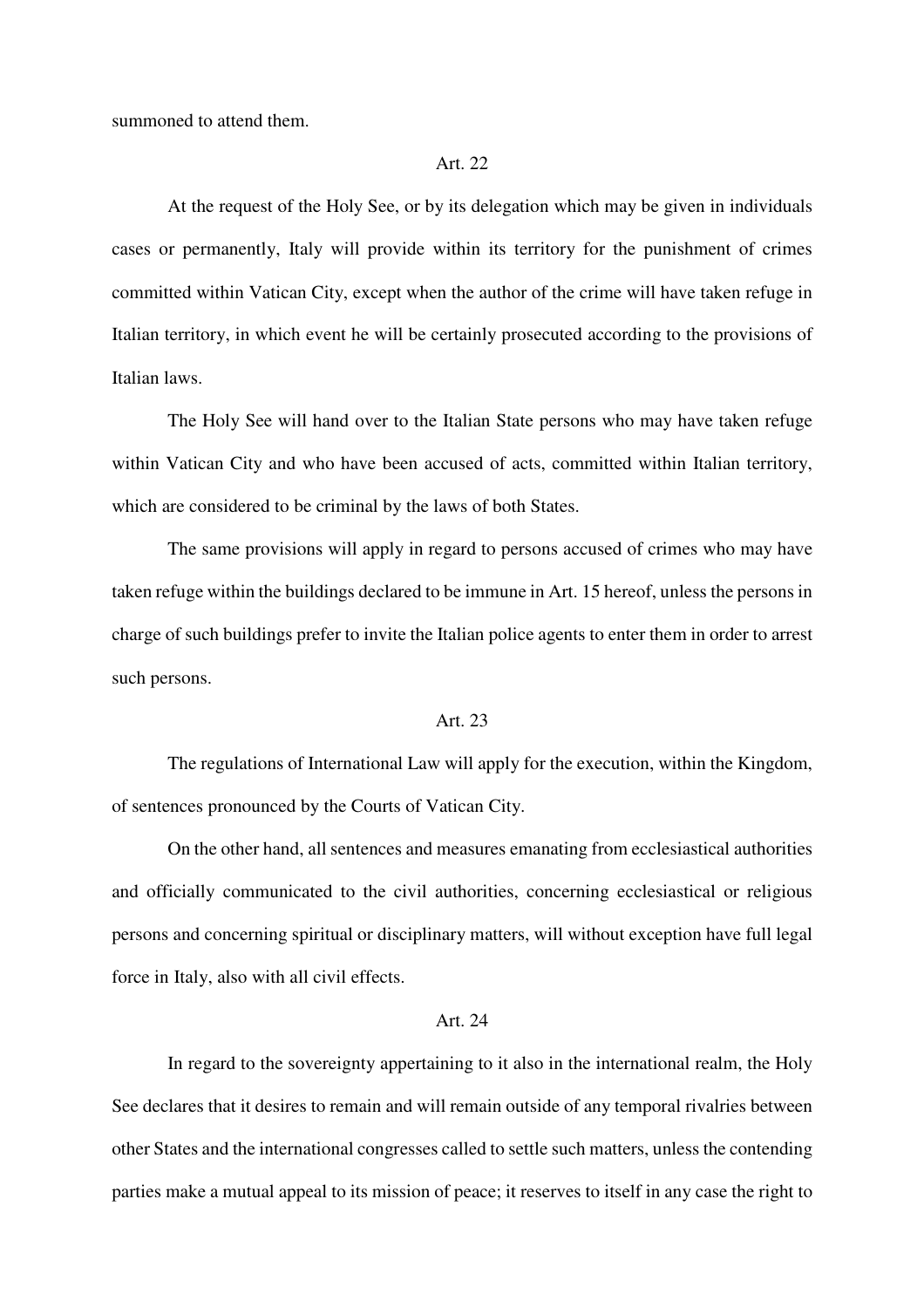summoned to attend them.

### Art. 22

 At the request of the Holy See, or by its delegation which may be given in individuals cases or permanently, Italy will provide within its territory for the punishment of crimes committed within Vatican City, except when the author of the crime will have taken refuge in Italian territory, in which event he will be certainly prosecuted according to the provisions of Italian laws.

 The Holy See will hand over to the Italian State persons who may have taken refuge within Vatican City and who have been accused of acts, committed within Italian territory, which are considered to be criminal by the laws of both States.

 The same provisions will apply in regard to persons accused of crimes who may have taken refuge within the buildings declared to be immune in Art. 15 hereof, unless the persons in charge of such buildings prefer to invite the Italian police agents to enter them in order to arrest such persons.

#### Art. 23

 The regulations of International Law will apply for the execution, within the Kingdom, of sentences pronounced by the Courts of Vatican City.

 On the other hand, all sentences and measures emanating from ecclesiastical authorities and officially communicated to the civil authorities, concerning ecclesiastical or religious persons and concerning spiritual or disciplinary matters, will without exception have full legal force in Italy, also with all civil effects.

## Art. 24

 In regard to the sovereignty appertaining to it also in the international realm, the Holy See declares that it desires to remain and will remain outside of any temporal rivalries between other States and the international congresses called to settle such matters, unless the contending parties make a mutual appeal to its mission of peace; it reserves to itself in any case the right to